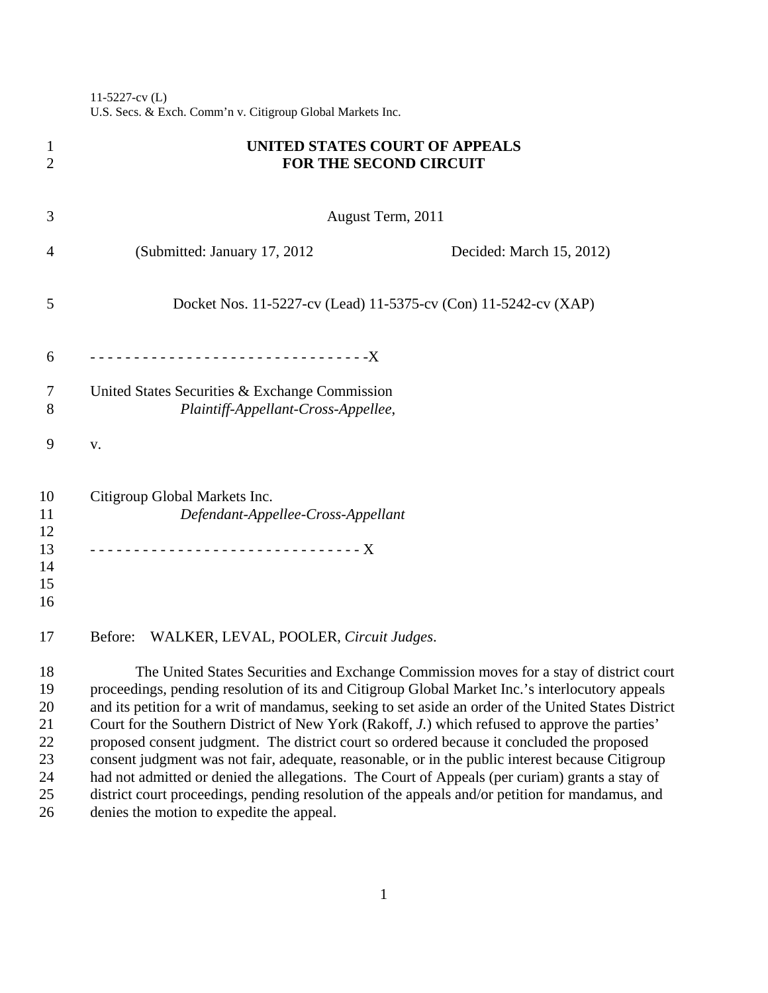11-5227-cv (L) U.S. Secs. & Exch. Comm'n v. Citigroup Global Markets Inc.

| 1<br>$\overline{2}$                          | UNITED STATES COURT OF APPEALS<br><b>FOR THE SECOND CIRCUIT</b>                                                                                                                                                                                                                                                                                                                                                                                                                                                                                                                                                                                                                                                                                                                                             |  |
|----------------------------------------------|-------------------------------------------------------------------------------------------------------------------------------------------------------------------------------------------------------------------------------------------------------------------------------------------------------------------------------------------------------------------------------------------------------------------------------------------------------------------------------------------------------------------------------------------------------------------------------------------------------------------------------------------------------------------------------------------------------------------------------------------------------------------------------------------------------------|--|
| 3                                            | August Term, 2011                                                                                                                                                                                                                                                                                                                                                                                                                                                                                                                                                                                                                                                                                                                                                                                           |  |
| 4                                            | (Submitted: January 17, 2012)<br>Decided: March 15, 2012)                                                                                                                                                                                                                                                                                                                                                                                                                                                                                                                                                                                                                                                                                                                                                   |  |
| 5                                            | Docket Nos. 11-5227-cv (Lead) 11-5375-cv (Con) 11-5242-cv (XAP)                                                                                                                                                                                                                                                                                                                                                                                                                                                                                                                                                                                                                                                                                                                                             |  |
| 6                                            | --------------------------------X                                                                                                                                                                                                                                                                                                                                                                                                                                                                                                                                                                                                                                                                                                                                                                           |  |
| 7<br>8                                       | United States Securities & Exchange Commission<br>Plaintiff-Appellant-Cross-Appellee,                                                                                                                                                                                                                                                                                                                                                                                                                                                                                                                                                                                                                                                                                                                       |  |
| 9                                            | ${\bf V}$ .                                                                                                                                                                                                                                                                                                                                                                                                                                                                                                                                                                                                                                                                                                                                                                                                 |  |
| 10<br>11<br>12<br>13<br>14<br>15             | Citigroup Global Markets Inc.<br>Defendant-Appellee-Cross-Appellant                                                                                                                                                                                                                                                                                                                                                                                                                                                                                                                                                                                                                                                                                                                                         |  |
| 16<br>17                                     | WALKER, LEVAL, POOLER, Circuit Judges.<br>Before:                                                                                                                                                                                                                                                                                                                                                                                                                                                                                                                                                                                                                                                                                                                                                           |  |
| 18<br>19<br>20<br>21<br>22<br>23<br>24<br>25 | The United States Securities and Exchange Commission moves for a stay of district court<br>proceedings, pending resolution of its and Citigroup Global Market Inc.'s interlocutory appeals<br>and its petition for a writ of mandamus, seeking to set aside an order of the United States District<br>Court for the Southern District of New York (Rakoff, J.) which refused to approve the parties'<br>proposed consent judgment. The district court so ordered because it concluded the proposed<br>consent judgment was not fair, adequate, reasonable, or in the public interest because Citigroup<br>had not admitted or denied the allegations. The Court of Appeals (per curiam) grants a stay of<br>district court proceedings, pending resolution of the appeals and/or petition for mandamus, and |  |
| 26                                           | denies the motion to expedite the appeal.                                                                                                                                                                                                                                                                                                                                                                                                                                                                                                                                                                                                                                                                                                                                                                   |  |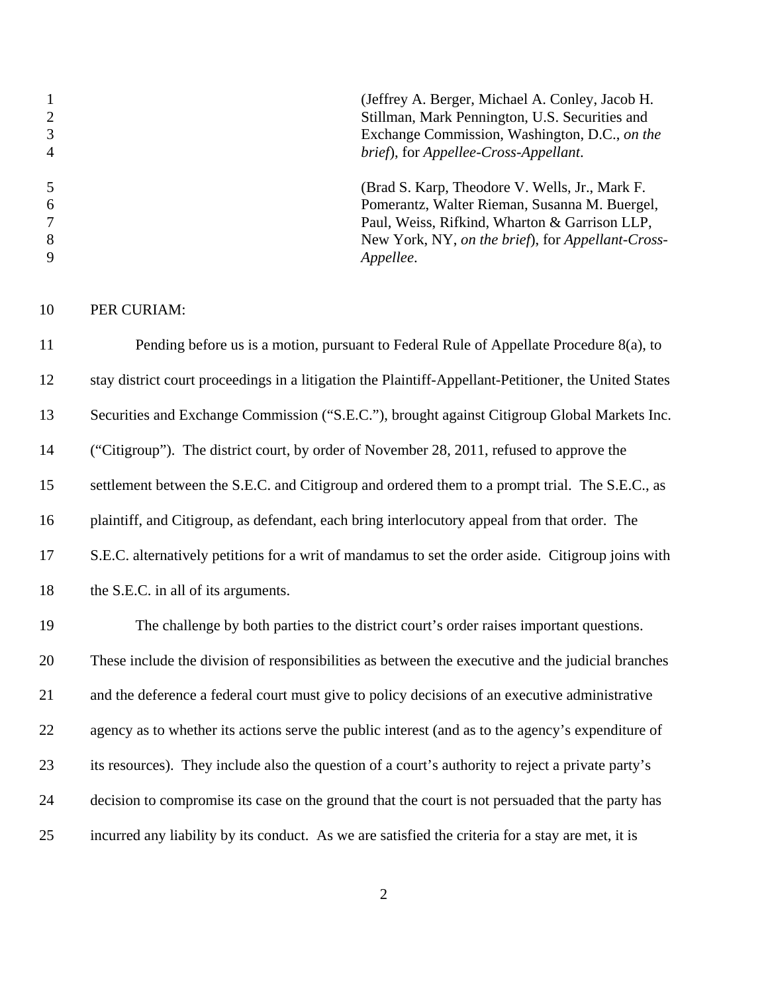|                | (Jeffrey A. Berger, Michael A. Conley, Jacob H.   |
|----------------|---------------------------------------------------|
| 2              | Stillman, Mark Pennington, U.S. Securities and    |
| 3              | Exchange Commission, Washington, D.C., on the     |
| $\overline{4}$ | brief), for Appellee-Cross-Appellant.             |
|                | (Brad S. Karp, Theodore V. Wells, Jr., Mark F.    |
| -6             | Pomerantz, Walter Rieman, Susanna M. Buergel,     |
|                | Paul, Weiss, Rifkind, Wharton & Garrison LLP,     |
| 8              | New York, NY, on the brief), for Appellant-Cross- |
| $\mathbf Q$    | Appellee.                                         |
|                |                                                   |

PER CURIAM:

 Pending before us is a motion, pursuant to Federal Rule of Appellate Procedure 8(a), to stay district court proceedings in a litigation the Plaintiff-Appellant-Petitioner, the United States Securities and Exchange Commission ("S.E.C."), brought against Citigroup Global Markets Inc. ("Citigroup"). The district court, by order of November 28, 2011, refused to approve the 15 settlement between the S.E.C. and Citigroup and ordered them to a prompt trial. The S.E.C., as plaintiff, and Citigroup, as defendant, each bring interlocutory appeal from that order. The S.E.C. alternatively petitions for a writ of mandamus to set the order aside. Citigroup joins with 18 the S.E.C. in all of its arguments.

 The challenge by both parties to the district court's order raises important questions. These include the division of responsibilities as between the executive and the judicial branches and the deference a federal court must give to policy decisions of an executive administrative 22 agency as to whether its actions serve the public interest (and as to the agency's expenditure of its resources). They include also the question of a court's authority to reject a private party's decision to compromise its case on the ground that the court is not persuaded that the party has incurred any liability by its conduct. As we are satisfied the criteria for a stay are met, it is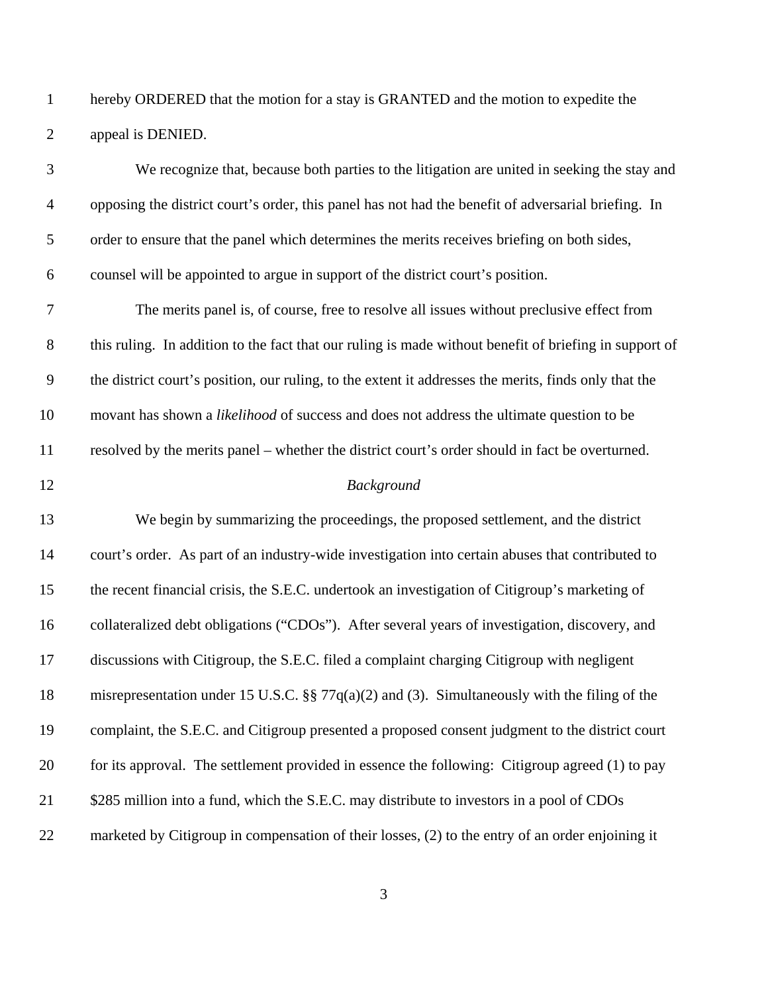hereby ORDERED that the motion for a stay is GRANTED and the motion to expedite the appeal is DENIED.

| 3                | We recognize that, because both parties to the litigation are united in seeking the stay and           |
|------------------|--------------------------------------------------------------------------------------------------------|
| $\overline{4}$   | opposing the district court's order, this panel has not had the benefit of adversarial briefing. In    |
| 5                | order to ensure that the panel which determines the merits receives briefing on both sides,            |
| 6                | counsel will be appointed to argue in support of the district court's position.                        |
| $\boldsymbol{7}$ | The merits panel is, of course, free to resolve all issues without preclusive effect from              |
| $8\,$            | this ruling. In addition to the fact that our ruling is made without benefit of briefing in support of |
| $\mathbf{9}$     | the district court's position, our ruling, to the extent it addresses the merits, finds only that the  |
| 10               | movant has shown a likelihood of success and does not address the ultimate question to be              |
| 11               | resolved by the merits panel – whether the district court's order should in fact be overturned.        |
| 12               | Background                                                                                             |
| 13               | We begin by summarizing the proceedings, the proposed settlement, and the district                     |
| 14               | court's order. As part of an industry-wide investigation into certain abuses that contributed to       |
| 15               | the recent financial crisis, the S.E.C. undertook an investigation of Citigroup's marketing of         |
| 16               | collateralized debt obligations ("CDOs"). After several years of investigation, discovery, and         |
| 17               | discussions with Citigroup, the S.E.C. filed a complaint charging Citigroup with negligent             |
| 18               | misrepresentation under 15 U.S.C. §§ 77 $q(a)(2)$ and (3). Simultaneously with the filing of the       |
| 19               | complaint, the S.E.C. and Citigroup presented a proposed consent judgment to the district court        |
| 20               | for its approval. The settlement provided in essence the following: Citigroup agreed (1) to pay        |
| 21               | \$285 million into a fund, which the S.E.C. may distribute to investors in a pool of CDOs              |
| 22               | marketed by Citigroup in compensation of their losses, (2) to the entry of an order enjoining it       |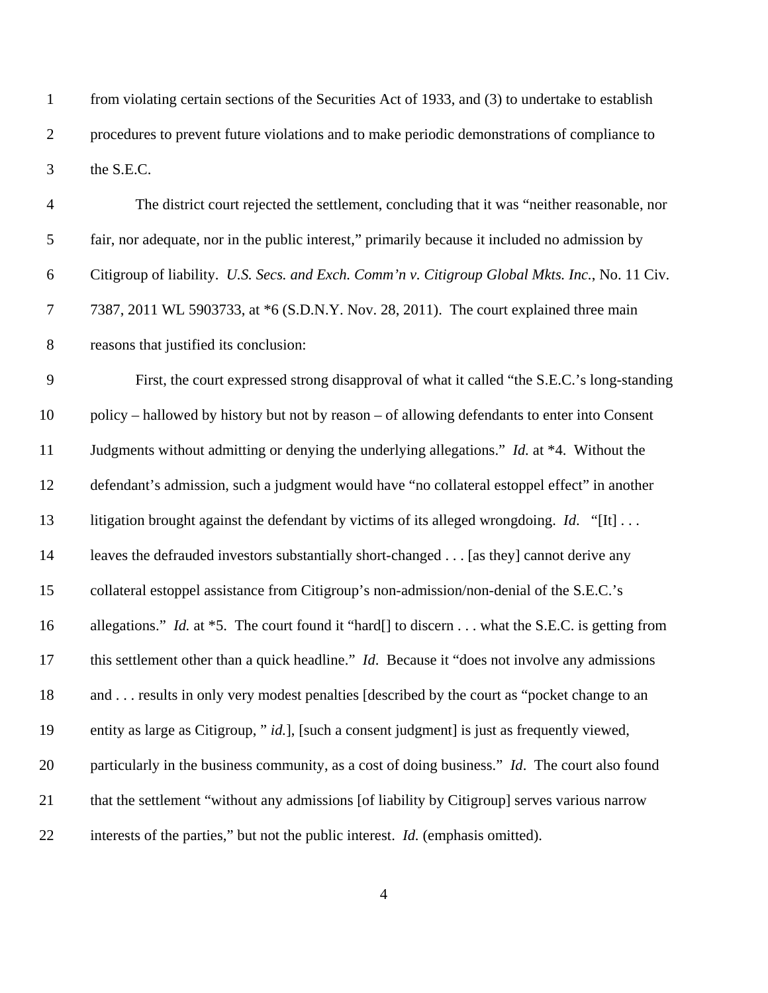from violating certain sections of the Securities Act of 1933, and (3) to undertake to establish procedures to prevent future violations and to make periodic demonstrations of compliance to the S.E.C.

| $\overline{4}$ | The district court rejected the settlement, concluding that it was "neither reasonable, nor           |
|----------------|-------------------------------------------------------------------------------------------------------|
| 5              | fair, nor adequate, nor in the public interest," primarily because it included no admission by        |
| 6              | Citigroup of liability. U.S. Secs. and Exch. Comm'n v. Citigroup Global Mkts. Inc., No. 11 Civ.       |
| $\tau$         | 7387, 2011 WL 5903733, at *6 (S.D.N.Y. Nov. 28, 2011). The court explained three main                 |
| $8\,$          | reasons that justified its conclusion:                                                                |
| 9              | First, the court expressed strong disapproval of what it called "the S.E.C.'s long-standing           |
| 10             | policy – hallowed by history but not by reason – of allowing defendants to enter into Consent         |
| 11             | Judgments without admitting or denying the underlying allegations." Id. at *4. Without the            |
| 12             | defendant's admission, such a judgment would have "no collateral estoppel effect" in another          |
| 13             | litigation brought against the defendant by victims of its alleged wrongdoing. <i>Id.</i> "[It]       |
| 14             | leaves the defrauded investors substantially short-changed [as they] cannot derive any                |
| 15             | collateral estoppel assistance from Citigroup's non-admission/non-denial of the S.E.C.'s              |
| 16             | allegations." Id. at *5. The court found it "hard[] to discern what the S.E.C. is getting from        |
| 17             | this settlement other than a quick headline." <i>Id.</i> Because it "does not involve any admissions" |
| 18             | and  results in only very modest penalties [described by the court as "pocket change to an            |
| 19             | entity as large as Citigroup, " id.], [such a consent judgment] is just as frequently viewed,         |
| 20             | particularly in the business community, as a cost of doing business." <i>Id.</i> The court also found |
| 21             | that the settlement "without any admissions [of liability by Citigroup] serves various narrow         |
| 22             | interests of the parties," but not the public interest. <i>Id.</i> (emphasis omitted).                |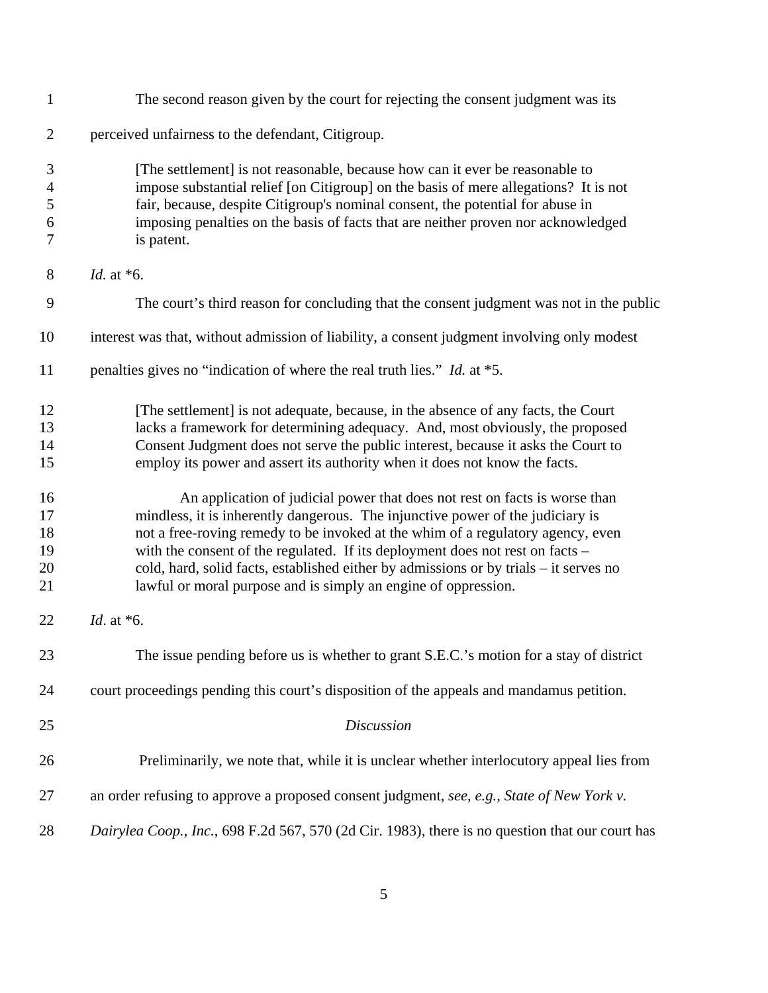| $\mathbf{1}$                                    | The second reason given by the court for rejecting the consent judgment was its                                                                                                                                                                                                                                                                                                                                                                                                             |
|-------------------------------------------------|---------------------------------------------------------------------------------------------------------------------------------------------------------------------------------------------------------------------------------------------------------------------------------------------------------------------------------------------------------------------------------------------------------------------------------------------------------------------------------------------|
| $\overline{2}$                                  | perceived unfairness to the defendant, Citigroup.                                                                                                                                                                                                                                                                                                                                                                                                                                           |
| $\mathfrak{Z}$<br>$\overline{4}$<br>5<br>6<br>7 | [The settlement] is not reasonable, because how can it ever be reasonable to<br>impose substantial relief [on Citigroup] on the basis of mere allegations? It is not<br>fair, because, despite Citigroup's nominal consent, the potential for abuse in<br>imposing penalties on the basis of facts that are neither proven nor acknowledged<br>is patent.                                                                                                                                   |
| $8\phantom{1}$                                  | <i>Id.</i> at $*6$ .                                                                                                                                                                                                                                                                                                                                                                                                                                                                        |
| 9                                               | The court's third reason for concluding that the consent judgment was not in the public                                                                                                                                                                                                                                                                                                                                                                                                     |
| 10                                              | interest was that, without admission of liability, a consent judgment involving only modest                                                                                                                                                                                                                                                                                                                                                                                                 |
| 11                                              | penalties gives no "indication of where the real truth lies." <i>Id.</i> at *5.                                                                                                                                                                                                                                                                                                                                                                                                             |
| 12<br>13<br>14<br>15                            | [The settlement] is not adequate, because, in the absence of any facts, the Court<br>lacks a framework for determining adequacy. And, most obviously, the proposed<br>Consent Judgment does not serve the public interest, because it asks the Court to<br>employ its power and assert its authority when it does not know the facts.                                                                                                                                                       |
| 16<br>17<br>18<br>19<br>20<br>21                | An application of judicial power that does not rest on facts is worse than<br>mindless, it is inherently dangerous. The injunctive power of the judiciary is<br>not a free-roving remedy to be invoked at the whim of a regulatory agency, even<br>with the consent of the regulated. If its deployment does not rest on facts –<br>cold, hard, solid facts, established either by admissions or by trials – it serves no<br>lawful or moral purpose and is simply an engine of oppression. |
| 22                                              | Id. at $*6$ .                                                                                                                                                                                                                                                                                                                                                                                                                                                                               |
| 23                                              | The issue pending before us is whether to grant S.E.C.'s motion for a stay of district                                                                                                                                                                                                                                                                                                                                                                                                      |
| 24                                              | court proceedings pending this court's disposition of the appeals and mandamus petition.                                                                                                                                                                                                                                                                                                                                                                                                    |
| 25                                              | <b>Discussion</b>                                                                                                                                                                                                                                                                                                                                                                                                                                                                           |
| 26                                              | Preliminarily, we note that, while it is unclear whether interlocutory appeal lies from                                                                                                                                                                                                                                                                                                                                                                                                     |
| 27                                              | an order refusing to approve a proposed consent judgment, see, e.g., State of New York v.                                                                                                                                                                                                                                                                                                                                                                                                   |
| 28                                              | Dairylea Coop., Inc., 698 F.2d 567, 570 (2d Cir. 1983), there is no question that our court has                                                                                                                                                                                                                                                                                                                                                                                             |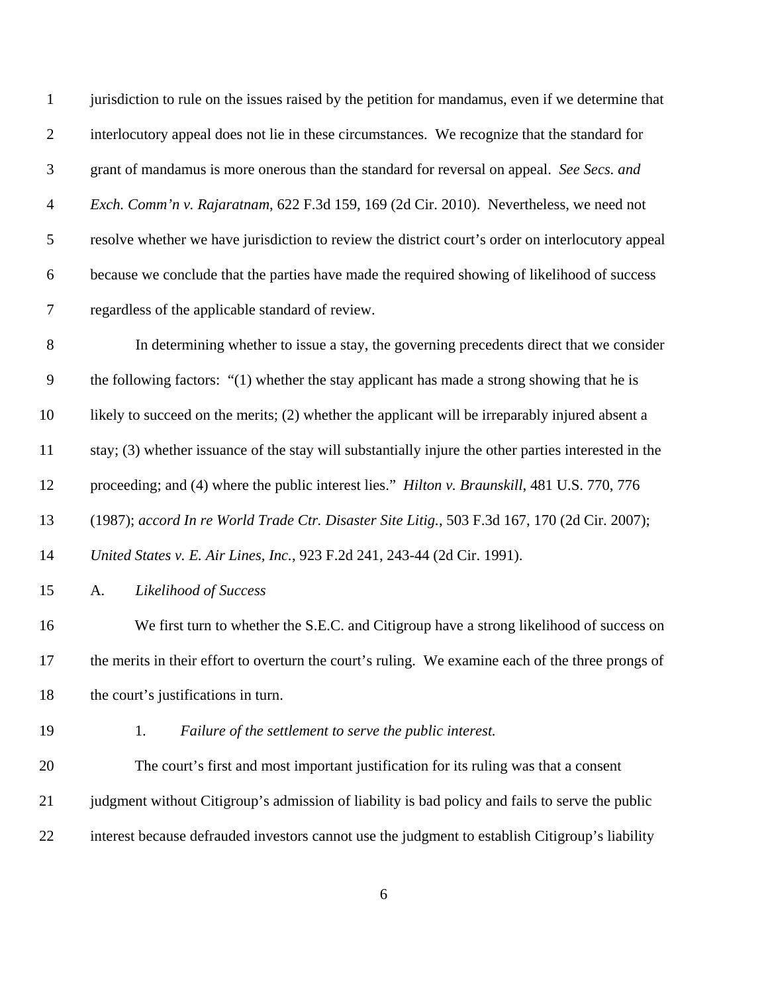| $\mathbf{1}$     | jurisdiction to rule on the issues raised by the petition for mandamus, even if we determine that    |
|------------------|------------------------------------------------------------------------------------------------------|
| $\overline{2}$   | interlocutory appeal does not lie in these circumstances. We recognize that the standard for         |
| 3                | grant of mandamus is more onerous than the standard for reversal on appeal. See Secs. and            |
| $\overline{4}$   | Exch. Comm'n v. Rajaratnam, 622 F.3d 159, 169 (2d Cir. 2010). Nevertheless, we need not              |
| 5                | resolve whether we have jurisdiction to review the district court's order on interlocutory appeal    |
| $\boldsymbol{6}$ | because we conclude that the parties have made the required showing of likelihood of success         |
| $\boldsymbol{7}$ | regardless of the applicable standard of review.                                                     |
| $8\,$            | In determining whether to issue a stay, the governing precedents direct that we consider             |
| $\overline{9}$   | the following factors: "(1) whether the stay applicant has made a strong showing that he is          |
| 10               | likely to succeed on the merits; (2) whether the applicant will be irreparably injured absent a      |
| 11               | stay; (3) whether issuance of the stay will substantially injure the other parties interested in the |
| 12               | proceeding; and (4) where the public interest lies." <i>Hilton v. Braunskill</i> , 481 U.S. 770, 776 |
| 13               | (1987); accord In re World Trade Ctr. Disaster Site Litig., 503 F.3d 167, 170 (2d Cir. 2007);        |
| 14               | United States v. E. Air Lines, Inc., 923 F.2d 241, 243-44 (2d Cir. 1991).                            |
| 15               | Likelihood of Success<br>A.                                                                          |
| 16               | We first turn to whether the S.E.C. and Citigroup have a strong likelihood of success on             |
| 17               | the merits in their effort to overturn the court's ruling. We examine each of the three prongs of    |
| 18               | the court's justifications in turn.                                                                  |
| 19               | 1.<br>Failure of the settlement to serve the public interest.                                        |
| 20               | The court's first and most important justification for its ruling was that a consent                 |
| 21               | judgment without Citigroup's admission of liability is bad policy and fails to serve the public      |
| 22               | interest because defrauded investors cannot use the judgment to establish Citigroup's liability      |
|                  |                                                                                                      |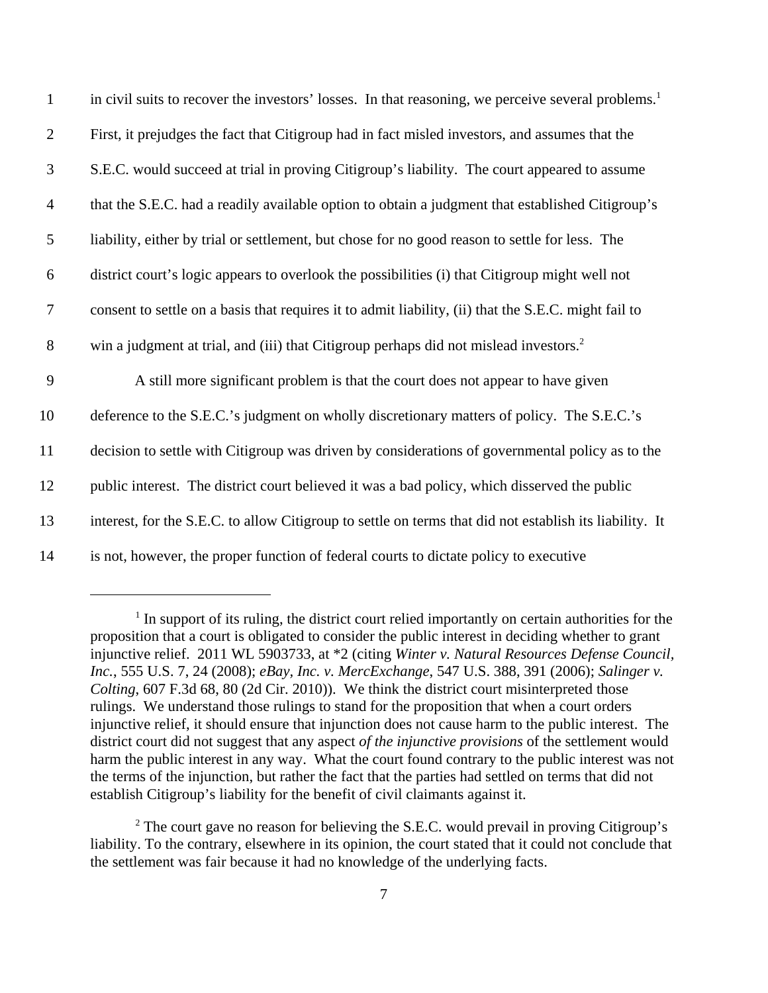| $\mathbf{1}$   | in civil suits to recover the investors' losses. In that reasoning, we perceive several problems. <sup>1</sup> |
|----------------|----------------------------------------------------------------------------------------------------------------|
| $\overline{2}$ | First, it prejudges the fact that Citigroup had in fact misled investors, and assumes that the                 |
| 3              | S.E.C. would succeed at trial in proving Citigroup's liability. The court appeared to assume                   |
| $\overline{4}$ | that the S.E.C. had a readily available option to obtain a judgment that established Citigroup's               |
| 5              | liability, either by trial or settlement, but chose for no good reason to settle for less. The                 |
| 6              | district court's logic appears to overlook the possibilities (i) that Citigroup might well not                 |
| $\overline{7}$ | consent to settle on a basis that requires it to admit liability, (ii) that the S.E.C. might fail to           |
| $8\,$          | win a judgment at trial, and (iii) that Citigroup perhaps did not mislead investors. <sup>2</sup>              |
| 9              | A still more significant problem is that the court does not appear to have given                               |
| 10             | deference to the S.E.C.'s judgment on wholly discretionary matters of policy. The S.E.C.'s                     |
| 11             | decision to settle with Citigroup was driven by considerations of governmental policy as to the                |
| 12             | public interest. The district court believed it was a bad policy, which disserved the public                   |
| 13             | interest, for the S.E.C. to allow Citigroup to settle on terms that did not establish its liability. It        |
| 14             | is not, however, the proper function of federal courts to dictate policy to executive                          |

<sup>&</sup>lt;sup>1</sup> In support of its ruling, the district court relied importantly on certain authorities for the proposition that a court is obligated to consider the public interest in deciding whether to grant injunctive relief. 2011 WL 5903733, at \*2 (citing *Winter v. Natural Resources Defense Council, Inc.*, 555 U.S. 7, 24 (2008); *eBay, Inc. v. MercExchange*, 547 U.S. 388, 391 (2006); *Salinger v. Colting*, 607 F.3d 68, 80 (2d Cir. 2010)). We think the district court misinterpreted those rulings. We understand those rulings to stand for the proposition that when a court orders injunctive relief, it should ensure that injunction does not cause harm to the public interest. The district court did not suggest that any aspect *of the injunctive provisions* of the settlement would harm the public interest in any way. What the court found contrary to the public interest was not the terms of the injunction, but rather the fact that the parties had settled on terms that did not establish Citigroup's liability for the benefit of civil claimants against it.

<sup>&</sup>lt;sup>2</sup> The court gave no reason for believing the S.E.C. would prevail in proving Citigroup's liability. To the contrary, elsewhere in its opinion, the court stated that it could not conclude that the settlement was fair because it had no knowledge of the underlying facts.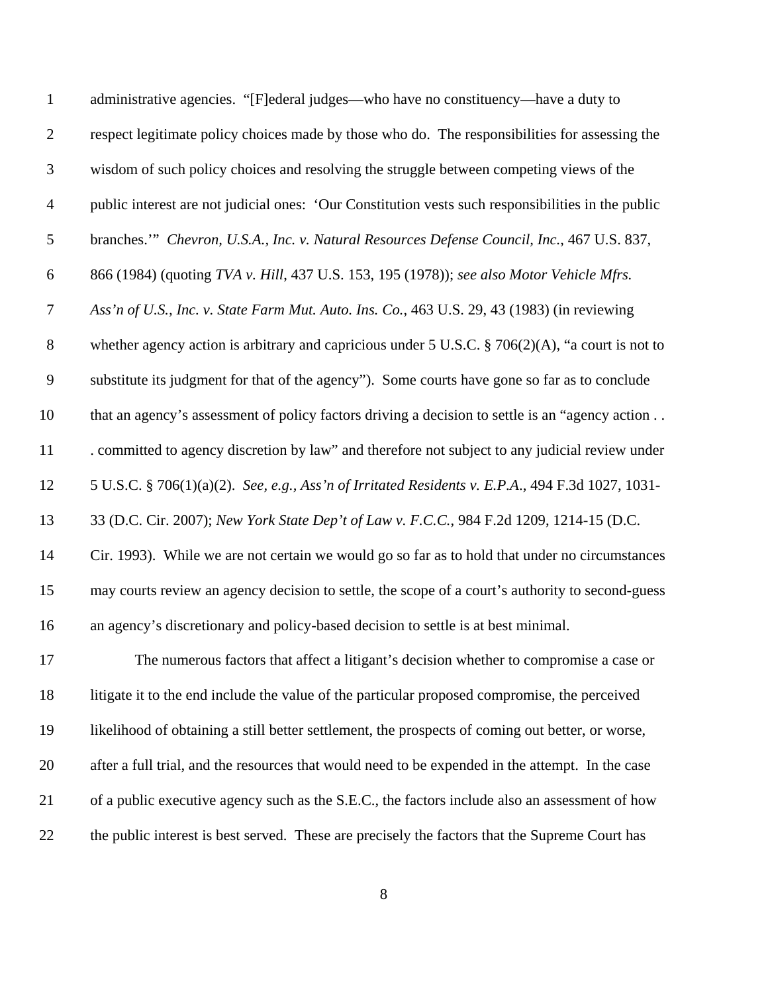| $\mathbf{1}$   | administrative agencies. "[F]ederal judges—who have no constituency—have a duty to                 |
|----------------|----------------------------------------------------------------------------------------------------|
| $\overline{2}$ | respect legitimate policy choices made by those who do. The responsibilities for assessing the     |
| 3              | wisdom of such policy choices and resolving the struggle between competing views of the            |
| $\overline{4}$ | public interest are not judicial ones: 'Our Constitution vests such responsibilities in the public |
| $\mathfrak s$  | branches."" Chevron, U.S.A., Inc. v. Natural Resources Defense Council, Inc., 467 U.S. 837,        |
| 6              | 866 (1984) (quoting TVA v. Hill, 437 U.S. 153, 195 (1978)); see also Motor Vehicle Mfrs.           |
| $\tau$         | Ass'n of U.S., Inc. v. State Farm Mut. Auto. Ins. Co., 463 U.S. 29, 43 (1983) (in reviewing        |
| $8\,$          | whether agency action is arbitrary and capricious under $5$ U.S.C. § 706(2)(A), "a court is not to |
| 9              | substitute its judgment for that of the agency"). Some courts have gone so far as to conclude      |
| 10             | that an agency's assessment of policy factors driving a decision to settle is an "agency action    |
| 11             | . committed to agency discretion by law" and therefore not subject to any judicial review under    |
| 12             | 5 U.S.C. § 706(1)(a)(2). See, e.g., Ass'n of Irritated Residents v. E.P.A., 494 F.3d 1027, 1031-   |
| 13             | 33 (D.C. Cir. 2007); New York State Dep't of Law v. F.C.C., 984 F.2d 1209, 1214-15 (D.C.           |
| 14             | Cir. 1993). While we are not certain we would go so far as to hold that under no circumstances     |
| 15             | may courts review an agency decision to settle, the scope of a court's authority to second-guess   |
| 16             | an agency's discretionary and policy-based decision to settle is at best minimal.                  |
| 17             | The numerous factors that affect a litigant's decision whether to compromise a case or             |
| 18             | litigate it to the end include the value of the particular proposed compromise, the perceived      |
| 19             | likelihood of obtaining a still better settlement, the prospects of coming out better, or worse,   |
| 20             | after a full trial, and the resources that would need to be expended in the attempt. In the case   |
| 21             | of a public executive agency such as the S.E.C., the factors include also an assessment of how     |
| 22             | the public interest is best served. These are precisely the factors that the Supreme Court has     |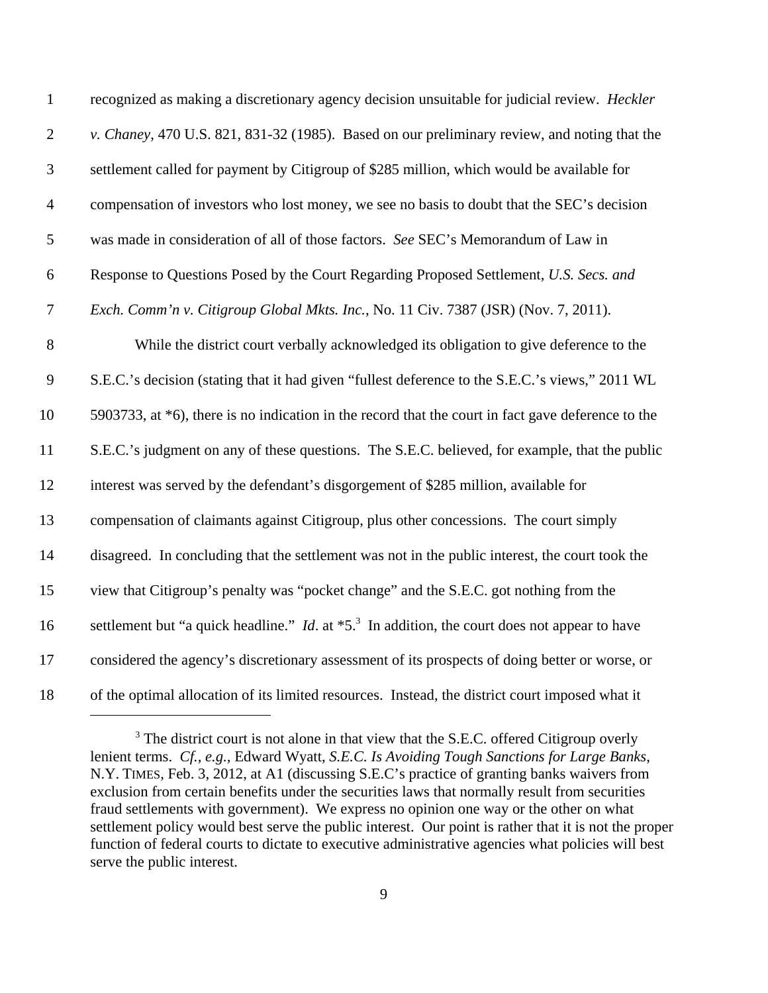| $\mathbf{1}$     | recognized as making a discretionary agency decision unsuitable for judicial review. Heckler                        |
|------------------|---------------------------------------------------------------------------------------------------------------------|
| $\overline{2}$   | v. Chaney, 470 U.S. 821, 831-32 (1985). Based on our preliminary review, and noting that the                        |
| 3                | settlement called for payment by Citigroup of \$285 million, which would be available for                           |
| $\overline{4}$   | compensation of investors who lost money, we see no basis to doubt that the SEC's decision                          |
| $\mathfrak{S}$   | was made in consideration of all of those factors. See SEC's Memorandum of Law in                                   |
| $\boldsymbol{6}$ | Response to Questions Posed by the Court Regarding Proposed Settlement, U.S. Secs. and                              |
| $\overline{7}$   | Exch. Comm'n v. Citigroup Global Mkts. Inc., No. 11 Civ. 7387 (JSR) (Nov. 7, 2011).                                 |
| $8\,$            | While the district court verbally acknowledged its obligation to give deference to the                              |
| 9                | S.E.C.'s decision (stating that it had given "fullest deference to the S.E.C.'s views," 2011 WL                     |
| 10               | 5903733, at *6), there is no indication in the record that the court in fact gave deference to the                  |
| 11               | S.E.C.'s judgment on any of these questions. The S.E.C. believed, for example, that the public                      |
| 12               | interest was served by the defendant's disgorgement of \$285 million, available for                                 |
| 13               | compensation of claimants against Citigroup, plus other concessions. The court simply                               |
| 14               | disagreed. In concluding that the settlement was not in the public interest, the court took the                     |
| 15               | view that Citigroup's penalty was "pocket change" and the S.E.C. got nothing from the                               |
| 16               | settlement but "a quick headline." <i>Id.</i> at $*5$ . <sup>3</sup> In addition, the court does not appear to have |
| 17               | considered the agency's discretionary assessment of its prospects of doing better or worse, or                      |
| 18               | of the optimal allocation of its limited resources. Instead, the district court imposed what it                     |

 The district court is not alone in that view that the S.E.C. offered Citigroup overly lenient terms. *Cf., e.g.,* Edward Wyatt, *S.E.C. Is Avoiding Tough Sanctions for Large Banks*, N.Y. TIMES, Feb. 3, 2012, at A1 (discussing S.E.C's practice of granting banks waivers from exclusion from certain benefits under the securities laws that normally result from securities fraud settlements with government). We express no opinion one way or the other on what settlement policy would best serve the public interest. Our point is rather that it is not the proper function of federal courts to dictate to executive administrative agencies what policies will best serve the public interest.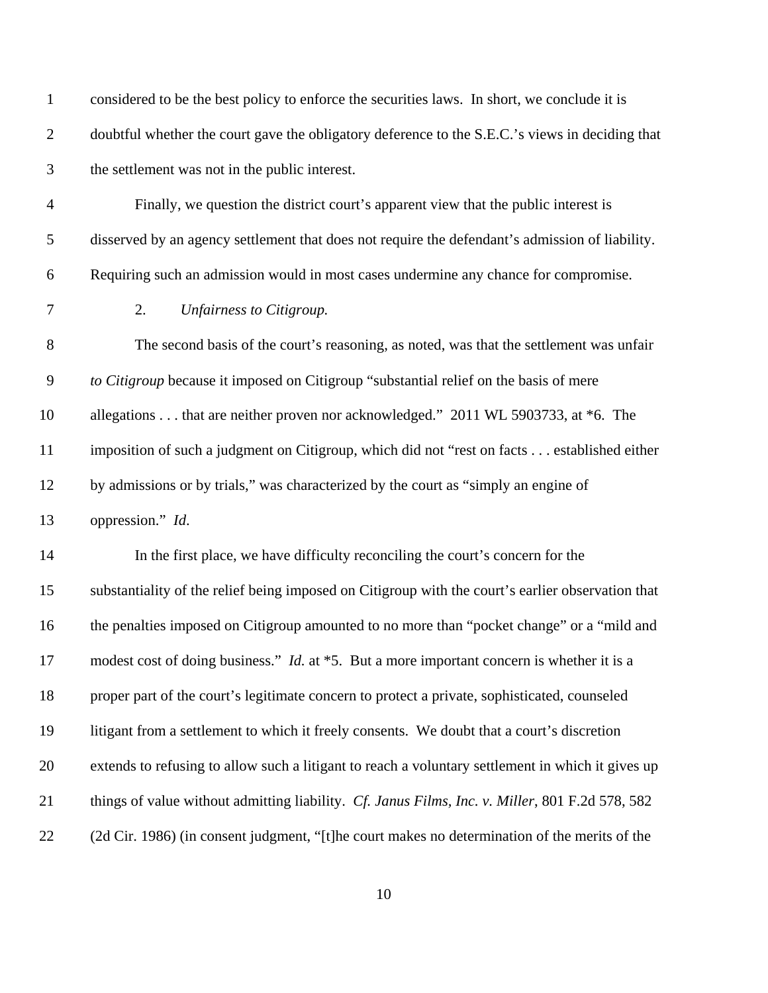| $\mathbf{1}$     | considered to be the best policy to enforce the securities laws. In short, we conclude it is      |
|------------------|---------------------------------------------------------------------------------------------------|
| $\overline{2}$   | doubtful whether the court gave the obligatory deference to the S.E.C.'s views in deciding that   |
| 3                | the settlement was not in the public interest.                                                    |
| $\overline{4}$   | Finally, we question the district court's apparent view that the public interest is               |
| 5                | disserved by an agency settlement that does not require the defendant's admission of liability.   |
| 6                | Requiring such an admission would in most cases undermine any chance for compromise.              |
| $\boldsymbol{7}$ | 2.<br>Unfairness to Citigroup.                                                                    |
| $8\,$            | The second basis of the court's reasoning, as noted, was that the settlement was unfair           |
| $\mathbf{9}$     | to Citigroup because it imposed on Citigroup "substantial relief on the basis of mere             |
| 10               | allegations that are neither proven nor acknowledged." 2011 WL 5903733, at *6. The                |
| 11               | imposition of such a judgment on Citigroup, which did not "rest on facts established either       |
| 12               | by admissions or by trials," was characterized by the court as "simply an engine of               |
| 13               | oppression." Id.                                                                                  |
| 14               | In the first place, we have difficulty reconciling the court's concern for the                    |
| 15               | substantiality of the relief being imposed on Citigroup with the court's earlier observation that |
| 16               | the penalties imposed on Citigroup amounted to no more than "pocket change" or a "mild and        |
| 17               | modest cost of doing business." <i>Id.</i> at *5. But a more important concern is whether it is a |
| 18               | proper part of the court's legitimate concern to protect a private, sophisticated, counseled      |
| 19               | litigant from a settlement to which it freely consents. We doubt that a court's discretion        |
| 20               | extends to refusing to allow such a litigant to reach a voluntary settlement in which it gives up |
| 21               | things of value without admitting liability. Cf. Janus Films, Inc. v. Miller, 801 F.2d 578, 582   |
| 22               | (2d Cir. 1986) (in consent judgment, "[t]he court makes no determination of the merits of the     |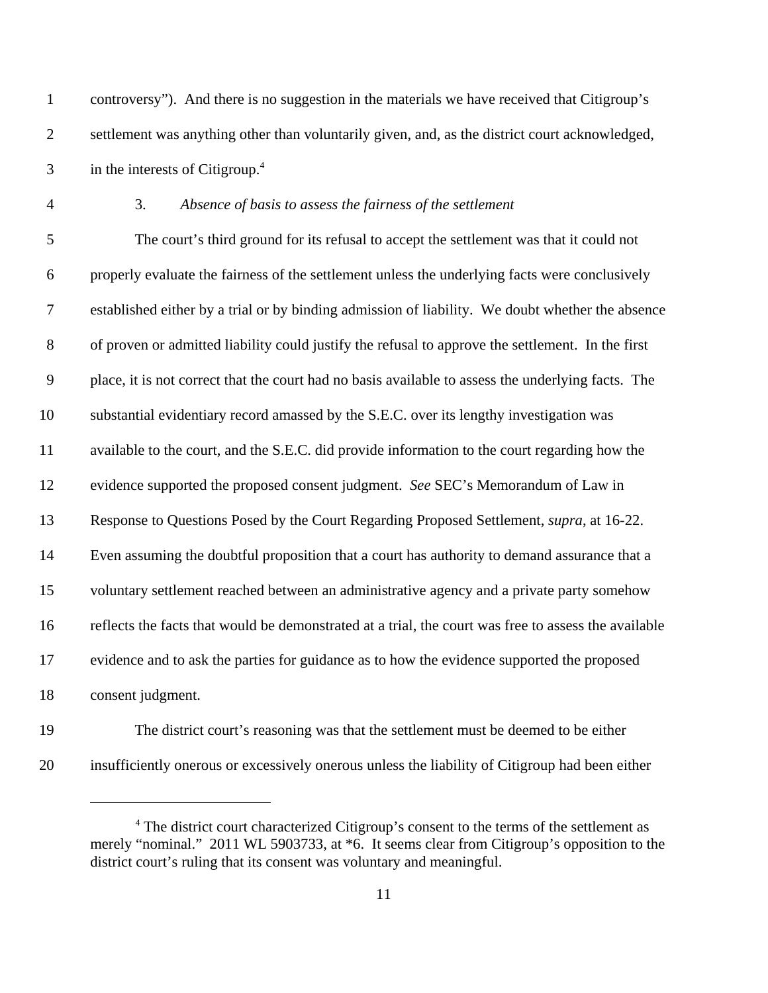controversy"). And there is no suggestion in the materials we have received that Citigroup's settlement was anything other than voluntarily given, and, as the district court acknowledged, in the interests of Citigroup.<sup>4</sup>

## 3. *Absence of basis to assess the fairness of the settlement*

 The court's third ground for its refusal to accept the settlement was that it could not properly evaluate the fairness of the settlement unless the underlying facts were conclusively established either by a trial or by binding admission of liability. We doubt whether the absence of proven or admitted liability could justify the refusal to approve the settlement. In the first place, it is not correct that the court had no basis available to assess the underlying facts. The substantial evidentiary record amassed by the S.E.C. over its lengthy investigation was available to the court, and the S.E.C. did provide information to the court regarding how the evidence supported the proposed consent judgment. *See* SEC's Memorandum of Law in Response to Questions Posed by the Court Regarding Proposed Settlement, *supra*, at 16-22. Even assuming the doubtful proposition that a court has authority to demand assurance that a voluntary settlement reached between an administrative agency and a private party somehow reflects the facts that would be demonstrated at a trial, the court was free to assess the available evidence and to ask the parties for guidance as to how the evidence supported the proposed consent judgment.

 The district court's reasoning was that the settlement must be deemed to be either insufficiently onerous or excessively onerous unless the liability of Citigroup had been either

<sup>&</sup>lt;sup>4</sup> The district court characterized Citigroup's consent to the terms of the settlement as merely "nominal." 2011 WL 5903733, at \*6. It seems clear from Citigroup's opposition to the district court's ruling that its consent was voluntary and meaningful.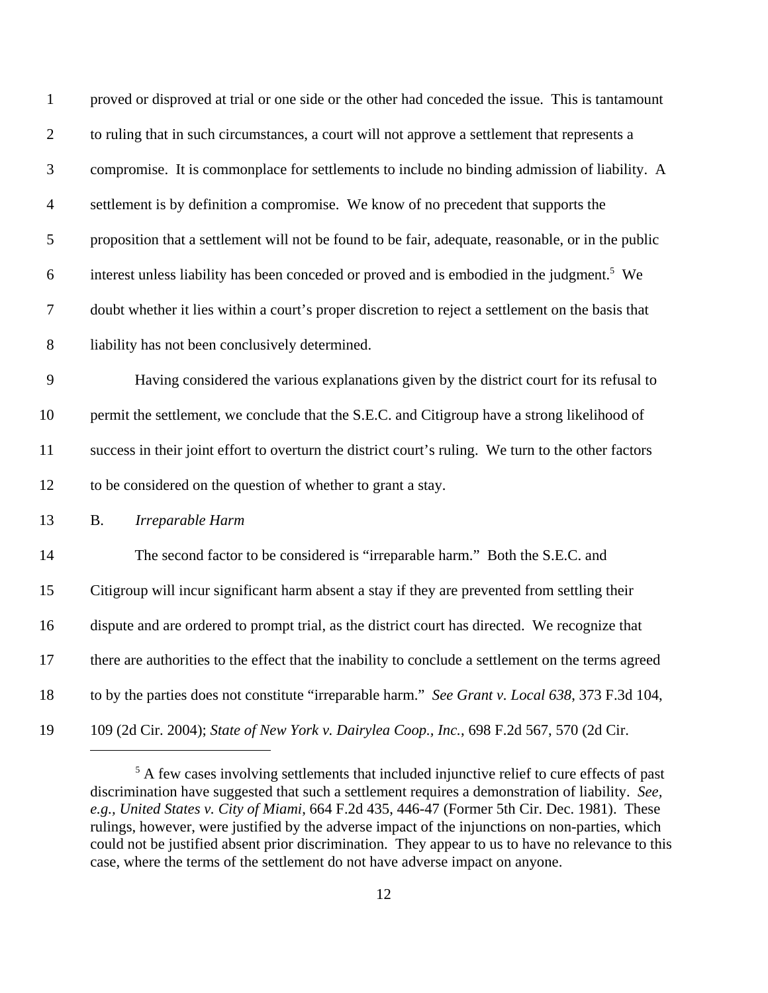| $\mathbf 1$              | proved or disproved at trial or one side or the other had conceded the issue. This is tantamount       |
|--------------------------|--------------------------------------------------------------------------------------------------------|
| $\overline{2}$           | to ruling that in such circumstances, a court will not approve a settlement that represents a          |
| 3                        | compromise. It is commonplace for settlements to include no binding admission of liability. A          |
| $\overline{\mathcal{A}}$ | settlement is by definition a compromise. We know of no precedent that supports the                    |
| 5                        | proposition that a settlement will not be found to be fair, adequate, reasonable, or in the public     |
| 6                        | interest unless liability has been conceded or proved and is embodied in the judgment. <sup>5</sup> We |
| $\overline{7}$           | doubt whether it lies within a court's proper discretion to reject a settlement on the basis that      |
| 8                        | liability has not been conclusively determined.                                                        |
| 9                        | Having considered the various explanations given by the district court for its refusal to              |
| 10                       | permit the settlement, we conclude that the S.E.C. and Citigroup have a strong likelihood of           |
| 11                       | success in their joint effort to overturn the district court's ruling. We turn to the other factors    |
| 12                       | to be considered on the question of whether to grant a stay.                                           |
| 13                       | Irreparable Harm<br><b>B.</b>                                                                          |
| 14                       | The second factor to be considered is "irreparable harm." Both the S.E.C. and                          |
| 15                       | Citigroup will incur significant harm absent a stay if they are prevented from settling their          |
| 16                       | dispute and are ordered to prompt trial, as the district court has directed. We recognize that         |
| 17                       | there are authorities to the effect that the inability to conclude a settlement on the terms agreed    |
| 18                       | to by the parties does not constitute "irreparable harm." See Grant v. Local 638, 373 F.3d 104,        |
| 19                       | 109 (2d Cir. 2004); State of New York v. Dairylea Coop., Inc., 698 F.2d 567, 570 (2d Cir.              |

<sup>&</sup>lt;sup>5</sup> A few cases involving settlements that included injunctive relief to cure effects of past discrimination have suggested that such a settlement requires a demonstration of liability. *See, e.g., United States v. City of Miami*, 664 F.2d 435, 446-47 (Former 5th Cir. Dec. 1981). These rulings, however, were justified by the adverse impact of the injunctions on non-parties, which could not be justified absent prior discrimination. They appear to us to have no relevance to this case, where the terms of the settlement do not have adverse impact on anyone.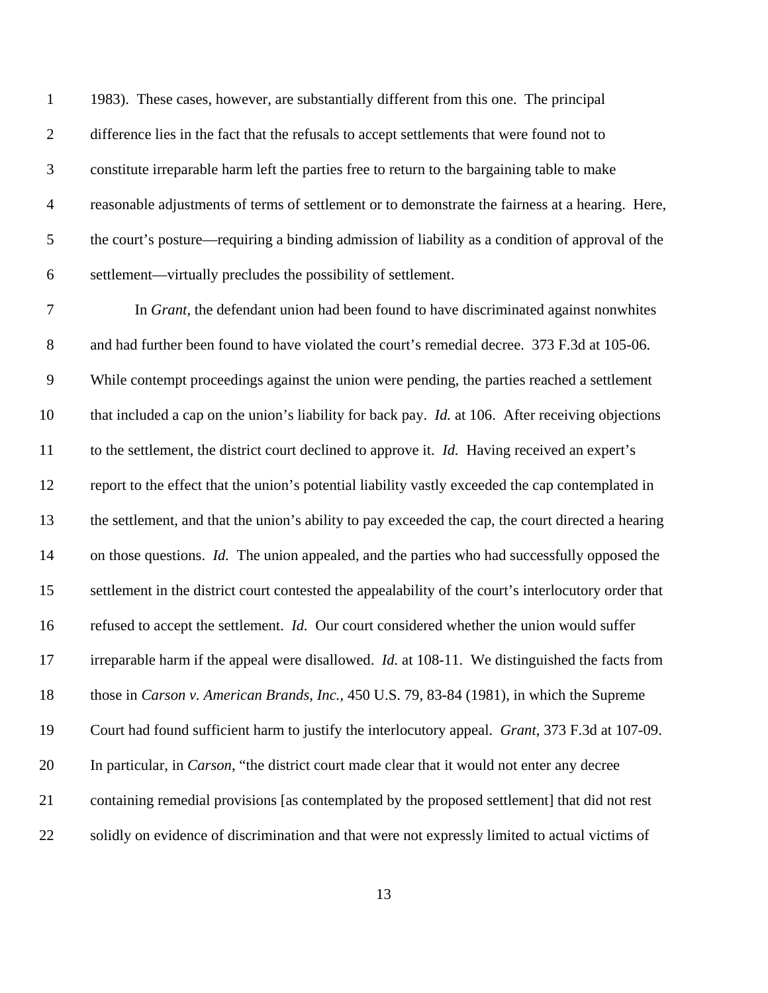1983). These cases, however, are substantially different from this one. The principal 2 difference lies in the fact that the refusals to accept settlements that were found not to constitute irreparable harm left the parties free to return to the bargaining table to make reasonable adjustments of terms of settlement or to demonstrate the fairness at a hearing. Here, the court's posture—requiring a binding admission of liability as a condition of approval of the settlement—virtually precludes the possibility of settlement.

 In *Grant,* the defendant union had been found to have discriminated against nonwhites and had further been found to have violated the court's remedial decree. 373 F.3d at 105-06. While contempt proceedings against the union were pending, the parties reached a settlement that included a cap on the union's liability for back pay. *Id.* at 106. After receiving objections to the settlement, the district court declined to approve it. *Id.* Having received an expert's report to the effect that the union's potential liability vastly exceeded the cap contemplated in the settlement, and that the union's ability to pay exceeded the cap, the court directed a hearing on those questions. *Id.* The union appealed, and the parties who had successfully opposed the settlement in the district court contested the appealability of the court's interlocutory order that refused to accept the settlement. *Id.* Our court considered whether the union would suffer irreparable harm if the appeal were disallowed. *Id.* at 108-11. We distinguished the facts from those in *Carson v. American Brands, Inc.*, 450 U.S. 79, 83-84 (1981), in which the Supreme Court had found sufficient harm to justify the interlocutory appeal. *Grant*, 373 F.3d at 107-09. In particular, in *Carson*, "the district court made clear that it would not enter any decree containing remedial provisions [as contemplated by the proposed settlement] that did not rest solidly on evidence of discrimination and that were not expressly limited to actual victims of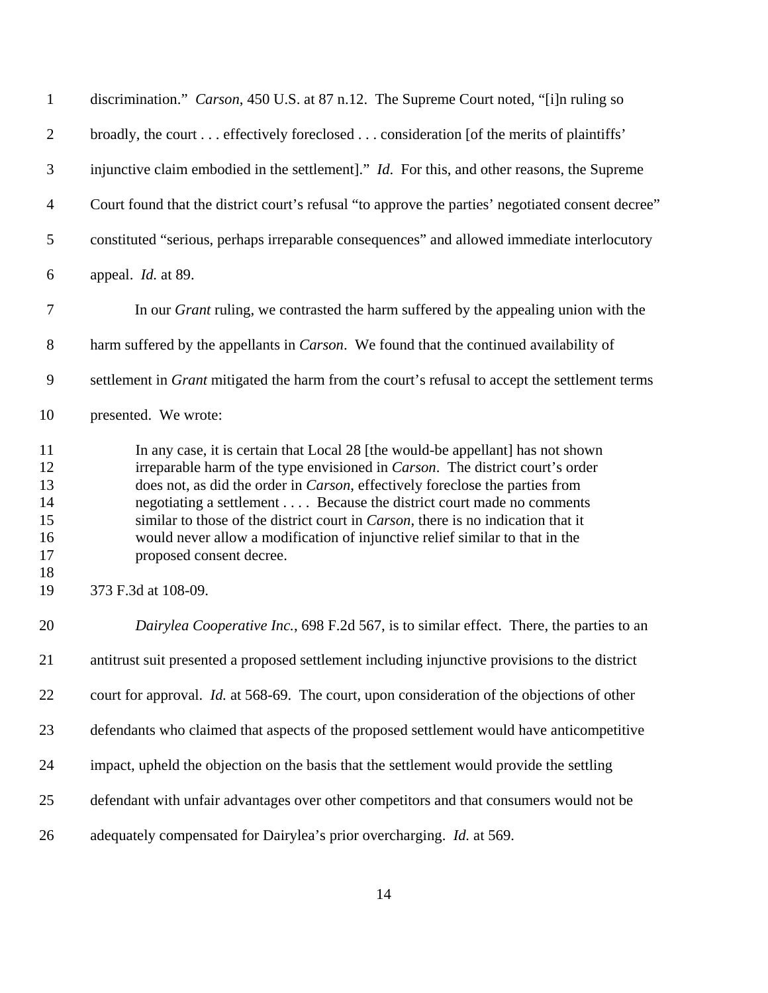| $\mathbf{1}$                           | discrimination." Carson, 450 U.S. at 87 n.12. The Supreme Court noted, "[i]n ruling so                                                                                                                                                                                                                                                                                                                                                                                                                                                   |
|----------------------------------------|------------------------------------------------------------------------------------------------------------------------------------------------------------------------------------------------------------------------------------------------------------------------------------------------------------------------------------------------------------------------------------------------------------------------------------------------------------------------------------------------------------------------------------------|
| $\overline{2}$                         | broadly, the court effectively foreclosed consideration [of the merits of plaintiffs'                                                                                                                                                                                                                                                                                                                                                                                                                                                    |
| $\mathfrak{Z}$                         | injunctive claim embodied in the settlement]." <i>Id.</i> For this, and other reasons, the Supreme                                                                                                                                                                                                                                                                                                                                                                                                                                       |
| $\overline{4}$                         | Court found that the district court's refusal "to approve the parties' negotiated consent decree"                                                                                                                                                                                                                                                                                                                                                                                                                                        |
| 5                                      | constituted "serious, perhaps irreparable consequences" and allowed immediate interlocutory                                                                                                                                                                                                                                                                                                                                                                                                                                              |
| 6                                      | appeal. Id. at 89.                                                                                                                                                                                                                                                                                                                                                                                                                                                                                                                       |
| $\tau$                                 | In our <i>Grant</i> ruling, we contrasted the harm suffered by the appealing union with the                                                                                                                                                                                                                                                                                                                                                                                                                                              |
| $8\,$                                  | harm suffered by the appellants in <i>Carson</i> . We found that the continued availability of                                                                                                                                                                                                                                                                                                                                                                                                                                           |
| 9                                      | settlement in Grant mitigated the harm from the court's refusal to accept the settlement terms                                                                                                                                                                                                                                                                                                                                                                                                                                           |
| 10                                     | presented. We wrote:                                                                                                                                                                                                                                                                                                                                                                                                                                                                                                                     |
| 11<br>12<br>13<br>14<br>15<br>16<br>17 | In any case, it is certain that Local 28 [the would-be appellant] has not shown<br>irreparable harm of the type envisioned in <i>Carson</i> . The district court's order<br>does not, as did the order in Carson, effectively foreclose the parties from<br>negotiating a settlement Because the district court made no comments<br>similar to those of the district court in <i>Carson</i> , there is no indication that it<br>would never allow a modification of injunctive relief similar to that in the<br>proposed consent decree. |
| 18<br>19                               | 373 F.3d at 108-09.                                                                                                                                                                                                                                                                                                                                                                                                                                                                                                                      |
| 20                                     | Dairylea Cooperative Inc., 698 F.2d 567, is to similar effect. There, the parties to an                                                                                                                                                                                                                                                                                                                                                                                                                                                  |
| 21                                     | antitrust suit presented a proposed settlement including injunctive provisions to the district                                                                                                                                                                                                                                                                                                                                                                                                                                           |
| 22                                     | court for approval. <i>Id.</i> at 568-69. The court, upon consideration of the objections of other                                                                                                                                                                                                                                                                                                                                                                                                                                       |
| 23                                     | defendants who claimed that aspects of the proposed settlement would have anticompetitive                                                                                                                                                                                                                                                                                                                                                                                                                                                |
| 24                                     | impact, upheld the objection on the basis that the settlement would provide the settling                                                                                                                                                                                                                                                                                                                                                                                                                                                 |
| 25                                     | defendant with unfair advantages over other competitors and that consumers would not be                                                                                                                                                                                                                                                                                                                                                                                                                                                  |
| 26                                     | adequately compensated for Dairylea's prior overcharging. Id. at 569.                                                                                                                                                                                                                                                                                                                                                                                                                                                                    |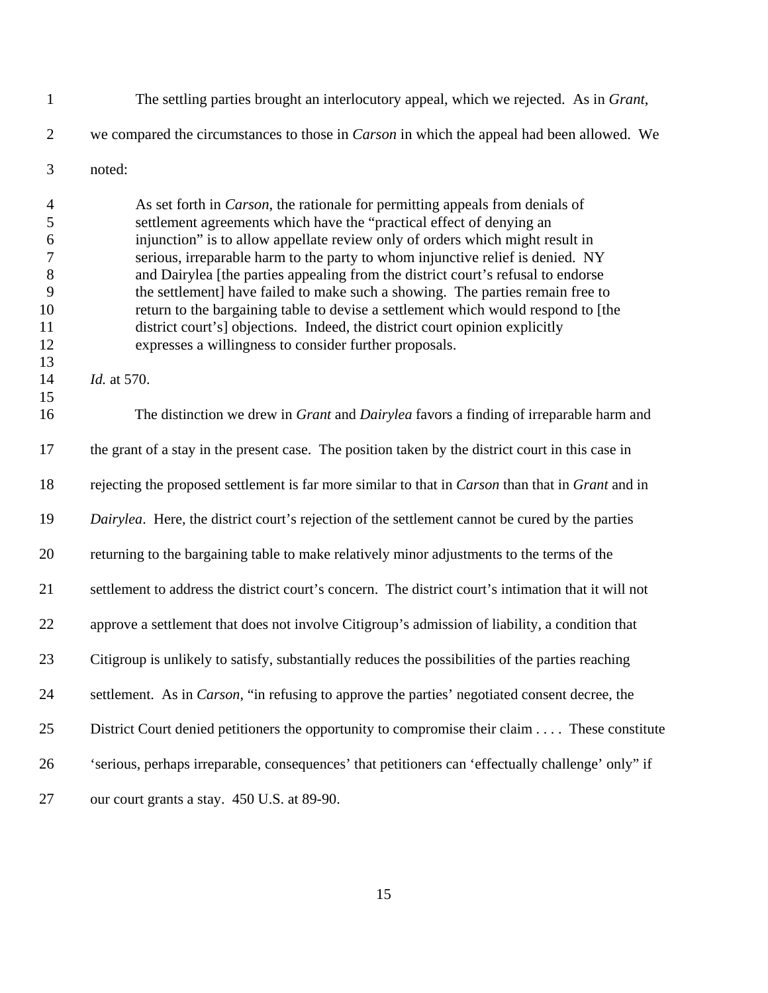The settling parties brought an interlocutory appeal, which we rejected. As in *Grant*, we compared the circumstances to those in *Carson* in which the appeal had been allowed. We noted:

 As set forth in *Carson*, the rationale for permitting appeals from denials of settlement agreements which have the "practical effect of denying an injunction" is to allow appellate review only of orders which might result in serious, irreparable harm to the party to whom injunctive relief is denied. NY and Dairylea [the parties appealing from the district court's refusal to endorse the settlement] have failed to make such a showing. The parties remain free to return to the bargaining table to devise a settlement which would respond to [the district court's] objections. Indeed, the district court opinion explicitly expresses a willingness to consider further proposals.

*Id.* at 570.

 The distinction we drew in *Grant* and *Dairylea* favors a finding of irreparable harm and the grant of a stay in the present case. The position taken by the district court in this case in rejecting the proposed settlement is far more similar to that in *Carson* than that in *Grant* and in *Dairylea*. Here, the district court's rejection of the settlement cannot be cured by the parties returning to the bargaining table to make relatively minor adjustments to the terms of the settlement to address the district court's concern. The district court's intimation that it will not approve a settlement that does not involve Citigroup's admission of liability, a condition that Citigroup is unlikely to satisfy, substantially reduces the possibilities of the parties reaching settlement. As in *Carson*, "in refusing to approve the parties' negotiated consent decree, the District Court denied petitioners the opportunity to compromise their claim . . . . These constitute 'serious, perhaps irreparable, consequences' that petitioners can 'effectually challenge' only" if our court grants a stay. 450 U.S. at 89-90.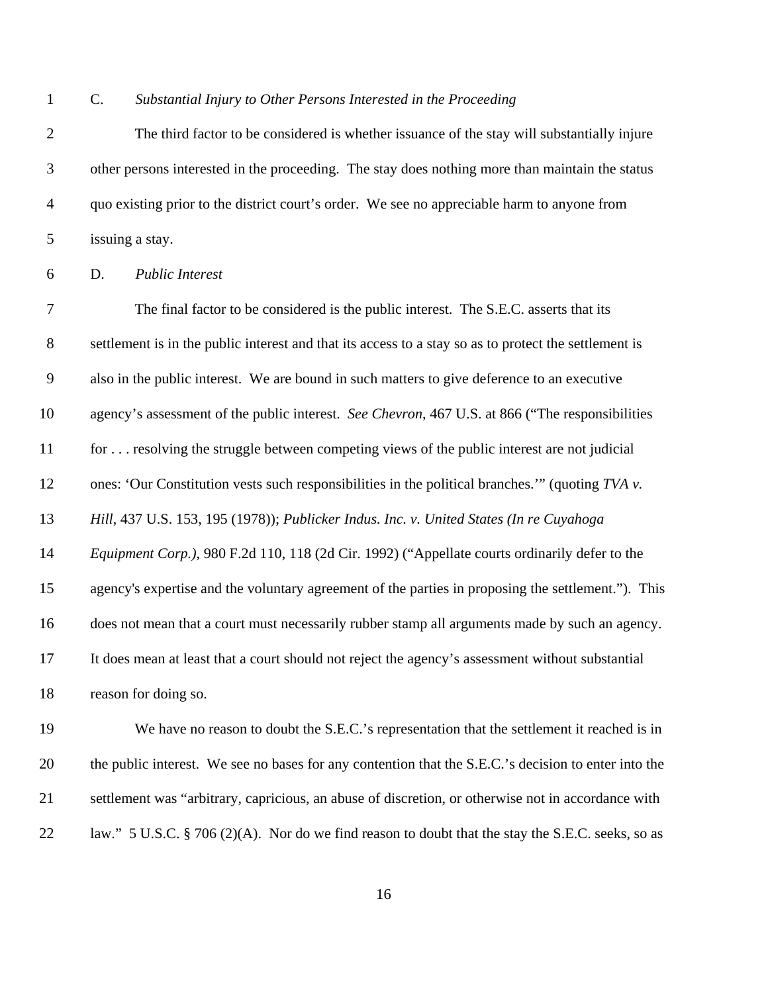C. *Substantial Injury to Other Persons Interested in the Proceeding*

 The third factor to be considered is whether issuance of the stay will substantially injure other persons interested in the proceeding. The stay does nothing more than maintain the status quo existing prior to the district court's order. We see no appreciable harm to anyone from issuing a stay.

D. *Public Interest*

 The final factor to be considered is the public interest. The S.E.C. asserts that its settlement is in the public interest and that its access to a stay so as to protect the settlement is also in the public interest. We are bound in such matters to give deference to an executive agency's assessment of the public interest. *See Chevron*, 467 U.S. at 866 ("The responsibilities for . . . resolving the struggle between competing views of the public interest are not judicial ones: 'Our Constitution vests such responsibilities in the political branches.'" (quoting *TVA v. Hill*, 437 U.S. 153, 195 (1978)); *Publicker Indus. Inc. v. United States (In re Cuyahoga Equipment Corp.)*, 980 F.2d 110, 118 (2d Cir. 1992) ("Appellate courts ordinarily defer to the agency's expertise and the voluntary agreement of the parties in proposing the settlement."). This does not mean that a court must necessarily rubber stamp all arguments made by such an agency. It does mean at least that a court should not reject the agency's assessment without substantial reason for doing so.

 We have no reason to doubt the S.E.C.'s representation that the settlement it reached is in the public interest. We see no bases for any contention that the S.E.C.'s decision to enter into the settlement was "arbitrary, capricious, an abuse of discretion, or otherwise not in accordance with 22 law." 5 U.S.C. § 706 (2)(A). Nor do we find reason to doubt that the stay the S.E.C. seeks, so as